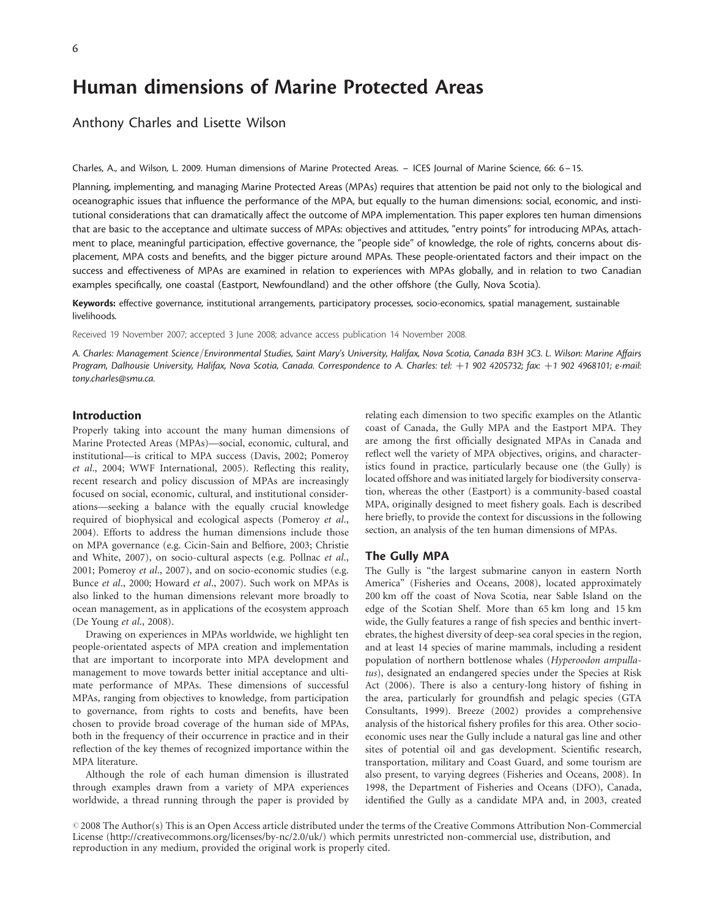# Human dimensions of Marine Protected Areas

## Anthony Charles and Lisette Wilson

Charles, A., and Wilson, L. 2009. Human dimensions of Marine Protected Areas. – ICES Journal of Marine Science, 66: 6–15.

Planning, implementing, and managing Marine Protected Areas (MPAs) requires that attention be paid not only to the biological and oceanographic issues that influence the performance of the MPA, but equally to the human dimensions: social, economic, and institutional considerations that can dramatically affect the outcome of MPA implementation. This paper explores ten human dimensions that are basic to the acceptance and ultimate success of MPAs: objectives and attitudes, "entry points" for introducing MPAs, attachment to place, meaningful participation, effective governance, the "people side" of knowledge, the role of rights, concerns about displacement, MPA costs and benefits, and the bigger picture around MPAs. These people-orientated factors and their impact on the success and effectiveness of MPAs are examined in relation to experiences with MPAs globally, and in relation to two Canadian examples specifically, one coastal (Eastport, Newfoundland) and the other offshore (the Gully, Nova Scotia).

Keywords: effective governance, institutional arrangements, participatory processes, socio-economics, spatial management, sustainable livelihoods.

Received 19 November 2007; accepted 3 June 2008; advance access publication 14 November 2008.

A. Charles: Management Science/Environmental Studies, Saint Mary's University, Halifax, Nova Scotia, Canada B3H 3C3. L. Wilson: Marine Affairs Program, Dalhousie University, Halifax, Nova Scotia, Canada. Correspondence to A. Charles: tel: +1 902 4205732; fax: +1 902 4968101; e-mail: tony.charles@smu.ca.

## Introduction

Properly taking into account the many human dimensions of Marine Protected Areas (MPAs)—social, economic, cultural, and institutional—is critical to MPA success (Davis, 2002; Pomeroy et al., 2004; WWF International, 2005). Reflecting this reality, recent research and policy discussion of MPAs are increasingly focused on social, economic, cultural, and institutional considerations—seeking a balance with the equally crucial knowledge required of biophysical and ecological aspects (Pomeroy et al., 2004). Efforts to address the human dimensions include those on MPA governance (e.g. Cicin-Sain and Belfiore, 2003; Christie and White, 2007), on socio-cultural aspects (e.g. Pollnac et al., 2001; Pomeroy et al., 2007), and on socio-economic studies (e.g. Bunce et al., 2000; Howard et al., 2007). Such work on MPAs is also linked to the human dimensions relevant more broadly to ocean management, as in applications of the ecosystem approach (De Young et al., 2008).

Drawing on experiences in MPAs worldwide, we highlight ten people-orientated aspects of MPA creation and implementation that are important to incorporate into MPA development and management to move towards better initial acceptance and ultimate performance of MPAs. These dimensions of successful MPAs, ranging from objectives to knowledge, from participation to governance, from rights to costs and benefits, have been chosen to provide broad coverage of the human side of MPAs, both in the frequency of their occurrence in practice and in their reflection of the key themes of recognized importance within the MPA literature.

Although the role of each human dimension is illustrated through examples drawn from a variety of MPA experiences worldwide, a thread running through the paper is provided by relating each dimension to two specific examples on the Atlantic coast of Canada, the Gully MPA and the Eastport MPA. They are among the first officially designated MPAs in Canada and reflect well the variety of MPA objectives, origins, and characteristics found in practice, particularly because one (the Gully) is located offshore and was initiated largely for biodiversity conservation, whereas the other (Eastport) is a community-based coastal MPA, originally designed to meet fishery goals. Each is described here briefly, to provide the context for discussions in the following section, an analysis of the ten human dimensions of MPAs.

#### The Gully MPA

The Gully is "the largest submarine canyon in eastern North America" (Fisheries and Oceans, 2008), located approximately 200 km off the coast of Nova Scotia, near Sable Island on the edge of the Scotian Shelf. More than 65 km long and 15 km wide, the Gully features a range of fish species and benthic invertebrates, the highest diversity of deep-sea coral species in the region, and at least 14 species of marine mammals, including a resident population of northern bottlenose whales (Hyperoodon ampullatus), designated an endangered species under the Species at Risk Act (2006). There is also a century-long history of fishing in the area, particularly for groundfish and pelagic species (GTA Consultants, 1999). Breeze (2002) provides a comprehensive analysis of the historical fishery profiles for this area. Other socioeconomic uses near the Gully include a natural gas line and other sites of potential oil and gas development. Scientific research, transportation, military and Coast Guard, and some tourism are also present, to varying degrees (Fisheries and Oceans, 2008). In 1998, the Department of Fisheries and Oceans (DFO), Canada, identified the Gully as a candidate MPA and, in 2003, created

 $\degree$  2008 The Author(s) This is an Open Access article distributed under the terms of the Creative Commons Attribution Non-Commercial License (http://creativecommons.org/licenses/by-nc/2.0/uk/) which permits unrestricted non-commercial use, distribution, and reproduction in any medium, provided the original work is properly cited.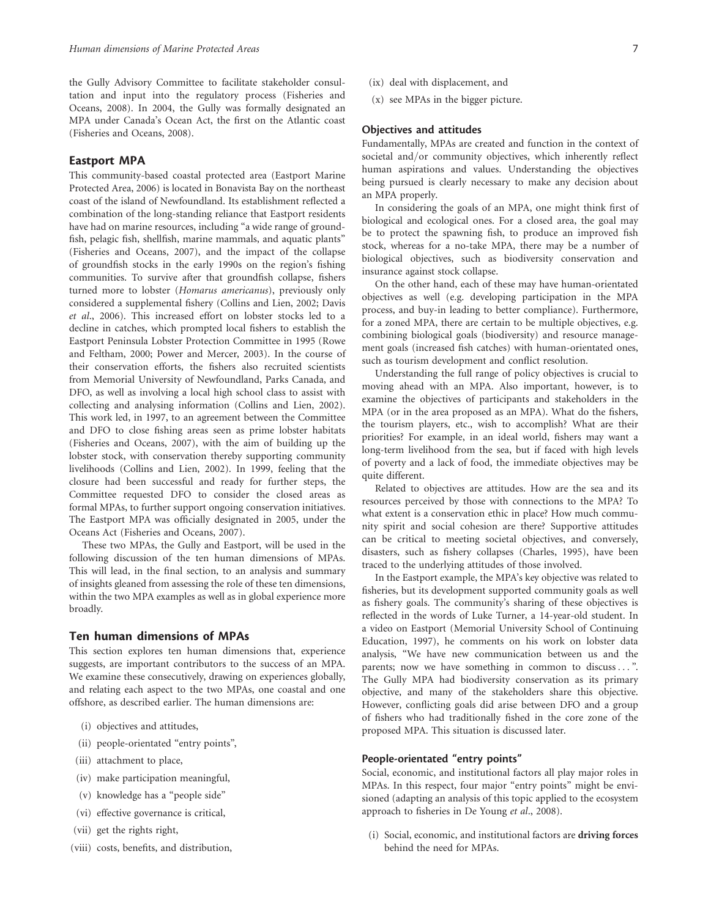the Gully Advisory Committee to facilitate stakeholder consultation and input into the regulatory process (Fisheries and Oceans, 2008). In 2004, the Gully was formally designated an MPA under Canada's Ocean Act, the first on the Atlantic coast (Fisheries and Oceans, 2008).

#### Eastport MPA

This community-based coastal protected area (Eastport Marine Protected Area, 2006) is located in Bonavista Bay on the northeast coast of the island of Newfoundland. Its establishment reflected a combination of the long-standing reliance that Eastport residents have had on marine resources, including "a wide range of groundfish, pelagic fish, shellfish, marine mammals, and aquatic plants" (Fisheries and Oceans, 2007), and the impact of the collapse of groundfish stocks in the early 1990s on the region's fishing communities. To survive after that groundfish collapse, fishers turned more to lobster (Homarus americanus), previously only considered a supplemental fishery (Collins and Lien, 2002; Davis et al., 2006). This increased effort on lobster stocks led to a decline in catches, which prompted local fishers to establish the Eastport Peninsula Lobster Protection Committee in 1995 (Rowe and Feltham, 2000; Power and Mercer, 2003). In the course of their conservation efforts, the fishers also recruited scientists from Memorial University of Newfoundland, Parks Canada, and DFO, as well as involving a local high school class to assist with collecting and analysing information (Collins and Lien, 2002). This work led, in 1997, to an agreement between the Committee and DFO to close fishing areas seen as prime lobster habitats (Fisheries and Oceans, 2007), with the aim of building up the lobster stock, with conservation thereby supporting community livelihoods (Collins and Lien, 2002). In 1999, feeling that the closure had been successful and ready for further steps, the Committee requested DFO to consider the closed areas as formal MPAs, to further support ongoing conservation initiatives. The Eastport MPA was officially designated in 2005, under the Oceans Act (Fisheries and Oceans, 2007).

These two MPAs, the Gully and Eastport, will be used in the following discussion of the ten human dimensions of MPAs. This will lead, in the final section, to an analysis and summary of insights gleaned from assessing the role of these ten dimensions, within the two MPA examples as well as in global experience more broadly.

## Ten human dimensions of MPAs

This section explores ten human dimensions that, experience suggests, are important contributors to the success of an MPA. We examine these consecutively, drawing on experiences globally, and relating each aspect to the two MPAs, one coastal and one offshore, as described earlier. The human dimensions are:

- (i) objectives and attitudes,
- (ii) people-orientated "entry points",
- (iii) attachment to place,
- (iv) make participation meaningful,
- (v) knowledge has a "people side"
- (vi) effective governance is critical,
- (vii) get the rights right,
- (viii) costs, benefits, and distribution,
- (ix) deal with displacement, and
- (x) see MPAs in the bigger picture.

#### Objectives and attitudes

Fundamentally, MPAs are created and function in the context of societal and/or community objectives, which inherently reflect human aspirations and values. Understanding the objectives being pursued is clearly necessary to make any decision about an MPA properly.

In considering the goals of an MPA, one might think first of biological and ecological ones. For a closed area, the goal may be to protect the spawning fish, to produce an improved fish stock, whereas for a no-take MPA, there may be a number of biological objectives, such as biodiversity conservation and insurance against stock collapse.

On the other hand, each of these may have human-orientated objectives as well (e.g. developing participation in the MPA process, and buy-in leading to better compliance). Furthermore, for a zoned MPA, there are certain to be multiple objectives, e.g. combining biological goals (biodiversity) and resource management goals (increased fish catches) with human-orientated ones, such as tourism development and conflict resolution.

Understanding the full range of policy objectives is crucial to moving ahead with an MPA. Also important, however, is to examine the objectives of participants and stakeholders in the MPA (or in the area proposed as an MPA). What do the fishers, the tourism players, etc., wish to accomplish? What are their priorities? For example, in an ideal world, fishers may want a long-term livelihood from the sea, but if faced with high levels of poverty and a lack of food, the immediate objectives may be quite different.

Related to objectives are attitudes. How are the sea and its resources perceived by those with connections to the MPA? To what extent is a conservation ethic in place? How much community spirit and social cohesion are there? Supportive attitudes can be critical to meeting societal objectives, and conversely, disasters, such as fishery collapses (Charles, 1995), have been traced to the underlying attitudes of those involved.

In the Eastport example, the MPA's key objective was related to fisheries, but its development supported community goals as well as fishery goals. The community's sharing of these objectives is reflected in the words of Luke Turner, a 14-year-old student. In a video on Eastport (Memorial University School of Continuing Education, 1997), he comments on his work on lobster data analysis, "We have new communication between us and the parents; now we have something in common to discuss ... ". The Gully MPA had biodiversity conservation as its primary objective, and many of the stakeholders share this objective. However, conflicting goals did arise between DFO and a group of fishers who had traditionally fished in the core zone of the proposed MPA. This situation is discussed later.

## People-orientated "entry points"

Social, economic, and institutional factors all play major roles in MPAs. In this respect, four major "entry points" might be envisioned (adapting an analysis of this topic applied to the ecosystem approach to fisheries in De Young et al., 2008).

(i) Social, economic, and institutional factors are driving forces behind the need for MPAs.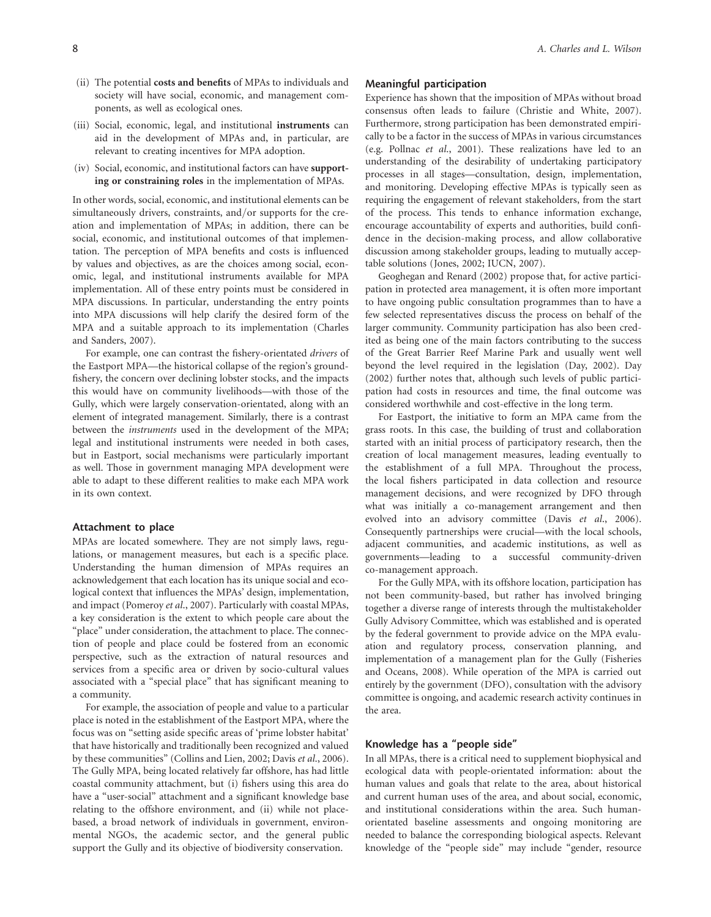- (ii) The potential costs and benefits of MPAs to individuals and society will have social, economic, and management components, as well as ecological ones.
- (iii) Social, economic, legal, and institutional instruments can aid in the development of MPAs and, in particular, are relevant to creating incentives for MPA adoption.
- (iv) Social, economic, and institutional factors can have supporting or constraining roles in the implementation of MPAs.

In other words, social, economic, and institutional elements can be simultaneously drivers, constraints, and/or supports for the creation and implementation of MPAs; in addition, there can be social, economic, and institutional outcomes of that implementation. The perception of MPA benefits and costs is influenced by values and objectives, as are the choices among social, economic, legal, and institutional instruments available for MPA implementation. All of these entry points must be considered in MPA discussions. In particular, understanding the entry points into MPA discussions will help clarify the desired form of the MPA and a suitable approach to its implementation (Charles and Sanders, 2007).

For example, one can contrast the fishery-orientated drivers of the Eastport MPA—the historical collapse of the region's groundfishery, the concern over declining lobster stocks, and the impacts this would have on community livelihoods—with those of the Gully, which were largely conservation-orientated, along with an element of integrated management. Similarly, there is a contrast between the instruments used in the development of the MPA; legal and institutional instruments were needed in both cases, but in Eastport, social mechanisms were particularly important as well. Those in government managing MPA development were able to adapt to these different realities to make each MPA work in its own context.

#### Attachment to place

MPAs are located somewhere. They are not simply laws, regulations, or management measures, but each is a specific place. Understanding the human dimension of MPAs requires an acknowledgement that each location has its unique social and ecological context that influences the MPAs' design, implementation, and impact (Pomeroy et al., 2007). Particularly with coastal MPAs, a key consideration is the extent to which people care about the "place" under consideration, the attachment to place. The connection of people and place could be fostered from an economic perspective, such as the extraction of natural resources and services from a specific area or driven by socio-cultural values associated with a "special place" that has significant meaning to a community.

For example, the association of people and value to a particular place is noted in the establishment of the Eastport MPA, where the focus was on "setting aside specific areas of 'prime lobster habitat' that have historically and traditionally been recognized and valued by these communities" (Collins and Lien, 2002; Davis et al., 2006). The Gully MPA, being located relatively far offshore, has had little coastal community attachment, but (i) fishers using this area do have a "user-social" attachment and a significant knowledge base relating to the offshore environment, and (ii) while not placebased, a broad network of individuals in government, environmental NGOs, the academic sector, and the general public support the Gully and its objective of biodiversity conservation.

#### Meaningful participation

Experience has shown that the imposition of MPAs without broad consensus often leads to failure (Christie and White, 2007). Furthermore, strong participation has been demonstrated empirically to be a factor in the success of MPAs in various circumstances (e.g. Pollnac et al., 2001). These realizations have led to an understanding of the desirability of undertaking participatory processes in all stages—consultation, design, implementation, and monitoring. Developing effective MPAs is typically seen as requiring the engagement of relevant stakeholders, from the start of the process. This tends to enhance information exchange, encourage accountability of experts and authorities, build confidence in the decision-making process, and allow collaborative discussion among stakeholder groups, leading to mutually acceptable solutions (Jones, 2002; IUCN, 2007).

Geoghegan and Renard (2002) propose that, for active participation in protected area management, it is often more important to have ongoing public consultation programmes than to have a few selected representatives discuss the process on behalf of the larger community. Community participation has also been credited as being one of the main factors contributing to the success of the Great Barrier Reef Marine Park and usually went well beyond the level required in the legislation (Day, 2002). Day (2002) further notes that, although such levels of public participation had costs in resources and time, the final outcome was considered worthwhile and cost-effective in the long term.

For Eastport, the initiative to form an MPA came from the grass roots. In this case, the building of trust and collaboration started with an initial process of participatory research, then the creation of local management measures, leading eventually to the establishment of a full MPA. Throughout the process, the local fishers participated in data collection and resource management decisions, and were recognized by DFO through what was initially a co-management arrangement and then evolved into an advisory committee (Davis et al., 2006). Consequently partnerships were crucial—with the local schools, adjacent communities, and academic institutions, as well as governments—leading to a successful community-driven co-management approach.

For the Gully MPA, with its offshore location, participation has not been community-based, but rather has involved bringing together a diverse range of interests through the multistakeholder Gully Advisory Committee, which was established and is operated by the federal government to provide advice on the MPA evaluation and regulatory process, conservation planning, and implementation of a management plan for the Gully (Fisheries and Oceans, 2008). While operation of the MPA is carried out entirely by the government (DFO), consultation with the advisory committee is ongoing, and academic research activity continues in the area.

#### Knowledge has a "people side"

In all MPAs, there is a critical need to supplement biophysical and ecological data with people-orientated information: about the human values and goals that relate to the area, about historical and current human uses of the area, and about social, economic, and institutional considerations within the area. Such humanorientated baseline assessments and ongoing monitoring are needed to balance the corresponding biological aspects. Relevant knowledge of the "people side" may include "gender, resource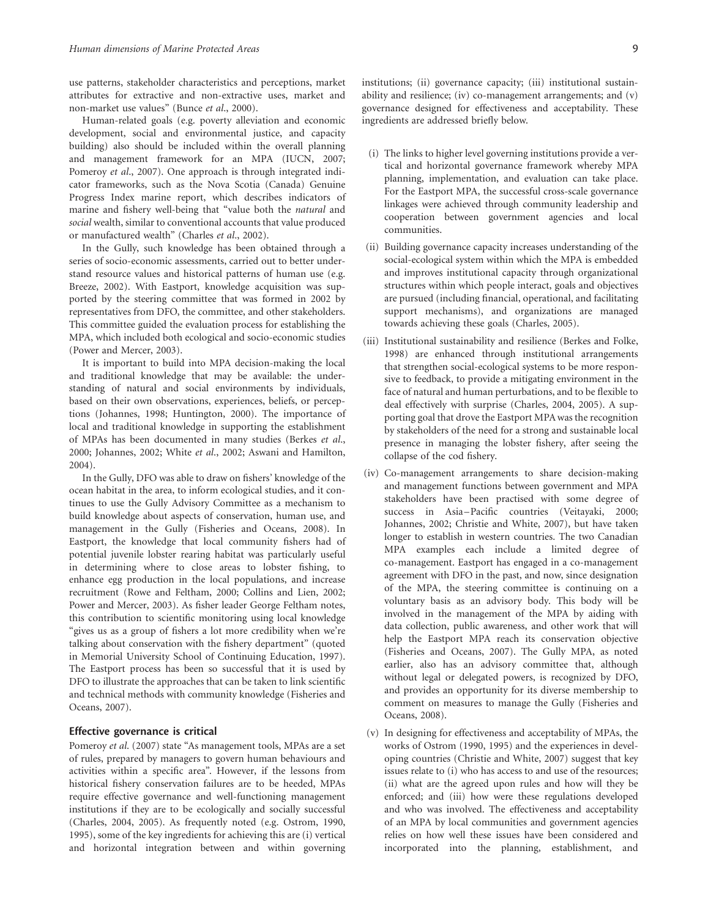use patterns, stakeholder characteristics and perceptions, market attributes for extractive and non-extractive uses, market and non-market use values" (Bunce et al., 2000).

Human-related goals (e.g. poverty alleviation and economic development, social and environmental justice, and capacity building) also should be included within the overall planning and management framework for an MPA (IUCN, 2007; Pomeroy et al., 2007). One approach is through integrated indicator frameworks, such as the Nova Scotia (Canada) Genuine Progress Index marine report, which describes indicators of marine and fishery well-being that "value both the natural and social wealth, similar to conventional accounts that value produced or manufactured wealth" (Charles et al., 2002).

In the Gully, such knowledge has been obtained through a series of socio-economic assessments, carried out to better understand resource values and historical patterns of human use (e.g. Breeze, 2002). With Eastport, knowledge acquisition was supported by the steering committee that was formed in 2002 by representatives from DFO, the committee, and other stakeholders. This committee guided the evaluation process for establishing the MPA, which included both ecological and socio-economic studies (Power and Mercer, 2003).

It is important to build into MPA decision-making the local and traditional knowledge that may be available: the understanding of natural and social environments by individuals, based on their own observations, experiences, beliefs, or perceptions (Johannes, 1998; Huntington, 2000). The importance of local and traditional knowledge in supporting the establishment of MPAs has been documented in many studies (Berkes et al., 2000; Johannes, 2002; White et al., 2002; Aswani and Hamilton, 2004).

In the Gully, DFO was able to draw on fishers' knowledge of the ocean habitat in the area, to inform ecological studies, and it continues to use the Gully Advisory Committee as a mechanism to build knowledge about aspects of conservation, human use, and management in the Gully (Fisheries and Oceans, 2008). In Eastport, the knowledge that local community fishers had of potential juvenile lobster rearing habitat was particularly useful in determining where to close areas to lobster fishing, to enhance egg production in the local populations, and increase recruitment (Rowe and Feltham, 2000; Collins and Lien, 2002; Power and Mercer, 2003). As fisher leader George Feltham notes, this contribution to scientific monitoring using local knowledge "gives us as a group of fishers a lot more credibility when we're talking about conservation with the fishery department" (quoted in Memorial University School of Continuing Education, 1997). The Eastport process has been so successful that it is used by DFO to illustrate the approaches that can be taken to link scientific and technical methods with community knowledge (Fisheries and Oceans, 2007).

## Effective governance is critical

Pomeroy et al. (2007) state "As management tools, MPAs are a set of rules, prepared by managers to govern human behaviours and activities within a specific area". However, if the lessons from historical fishery conservation failures are to be heeded, MPAs require effective governance and well-functioning management institutions if they are to be ecologically and socially successful (Charles, 2004, 2005). As frequently noted (e.g. Ostrom, 1990, 1995), some of the key ingredients for achieving this are (i) vertical and horizontal integration between and within governing

institutions; (ii) governance capacity; (iii) institutional sustainability and resilience; (iv) co-management arrangements; and (v) governance designed for effectiveness and acceptability. These ingredients are addressed briefly below.

- (i) The links to higher level governing institutions provide a vertical and horizontal governance framework whereby MPA planning, implementation, and evaluation can take place. For the Eastport MPA, the successful cross-scale governance linkages were achieved through community leadership and cooperation between government agencies and local communities.
- (ii) Building governance capacity increases understanding of the social-ecological system within which the MPA is embedded and improves institutional capacity through organizational structures within which people interact, goals and objectives are pursued (including financial, operational, and facilitating support mechanisms), and organizations are managed towards achieving these goals (Charles, 2005).
- (iii) Institutional sustainability and resilience (Berkes and Folke, 1998) are enhanced through institutional arrangements that strengthen social-ecological systems to be more responsive to feedback, to provide a mitigating environment in the face of natural and human perturbations, and to be flexible to deal effectively with surprise (Charles, 2004, 2005). A supporting goal that drove the Eastport MPA was the recognition by stakeholders of the need for a strong and sustainable local presence in managing the lobster fishery, after seeing the collapse of the cod fishery.
- (iv) Co-management arrangements to share decision-making and management functions between government and MPA stakeholders have been practised with some degree of success in Asia–Pacific countries (Veitayaki, 2000; Johannes, 2002; Christie and White, 2007), but have taken longer to establish in western countries. The two Canadian MPA examples each include a limited degree of co-management. Eastport has engaged in a co-management agreement with DFO in the past, and now, since designation of the MPA, the steering committee is continuing on a voluntary basis as an advisory body. This body will be involved in the management of the MPA by aiding with data collection, public awareness, and other work that will help the Eastport MPA reach its conservation objective (Fisheries and Oceans, 2007). The Gully MPA, as noted earlier, also has an advisory committee that, although without legal or delegated powers, is recognized by DFO, and provides an opportunity for its diverse membership to comment on measures to manage the Gully (Fisheries and Oceans, 2008).
- (v) In designing for effectiveness and acceptability of MPAs, the works of Ostrom (1990, 1995) and the experiences in developing countries (Christie and White, 2007) suggest that key issues relate to (i) who has access to and use of the resources; (ii) what are the agreed upon rules and how will they be enforced; and (iii) how were these regulations developed and who was involved. The effectiveness and acceptability of an MPA by local communities and government agencies relies on how well these issues have been considered and incorporated into the planning, establishment, and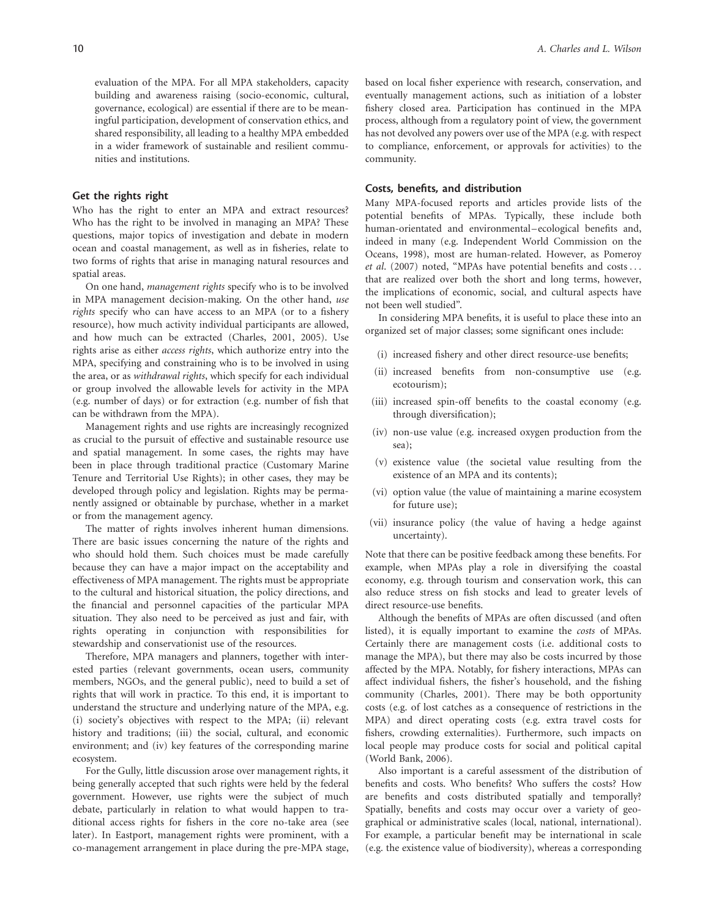evaluation of the MPA. For all MPA stakeholders, capacity building and awareness raising (socio-economic, cultural, governance, ecological) are essential if there are to be meaningful participation, development of conservation ethics, and shared responsibility, all leading to a healthy MPA embedded in a wider framework of sustainable and resilient communities and institutions.

### Get the rights right

Who has the right to enter an MPA and extract resources? Who has the right to be involved in managing an MPA? These questions, major topics of investigation and debate in modern ocean and coastal management, as well as in fisheries, relate to two forms of rights that arise in managing natural resources and spatial areas.

On one hand, management rights specify who is to be involved in MPA management decision-making. On the other hand, use rights specify who can have access to an MPA (or to a fishery resource), how much activity individual participants are allowed, and how much can be extracted (Charles, 2001, 2005). Use rights arise as either access rights, which authorize entry into the MPA, specifying and constraining who is to be involved in using the area, or as withdrawal rights, which specify for each individual or group involved the allowable levels for activity in the MPA (e.g. number of days) or for extraction (e.g. number of fish that can be withdrawn from the MPA).

Management rights and use rights are increasingly recognized as crucial to the pursuit of effective and sustainable resource use and spatial management. In some cases, the rights may have been in place through traditional practice (Customary Marine Tenure and Territorial Use Rights); in other cases, they may be developed through policy and legislation. Rights may be permanently assigned or obtainable by purchase, whether in a market or from the management agency.

The matter of rights involves inherent human dimensions. There are basic issues concerning the nature of the rights and who should hold them. Such choices must be made carefully because they can have a major impact on the acceptability and effectiveness of MPA management. The rights must be appropriate to the cultural and historical situation, the policy directions, and the financial and personnel capacities of the particular MPA situation. They also need to be perceived as just and fair, with rights operating in conjunction with responsibilities for stewardship and conservationist use of the resources.

Therefore, MPA managers and planners, together with interested parties (relevant governments, ocean users, community members, NGOs, and the general public), need to build a set of rights that will work in practice. To this end, it is important to understand the structure and underlying nature of the MPA, e.g. (i) society's objectives with respect to the MPA; (ii) relevant history and traditions; (iii) the social, cultural, and economic environment; and (iv) key features of the corresponding marine ecosystem.

For the Gully, little discussion arose over management rights, it being generally accepted that such rights were held by the federal government. However, use rights were the subject of much debate, particularly in relation to what would happen to traditional access rights for fishers in the core no-take area (see later). In Eastport, management rights were prominent, with a co-management arrangement in place during the pre-MPA stage, based on local fisher experience with research, conservation, and eventually management actions, such as initiation of a lobster fishery closed area. Participation has continued in the MPA process, although from a regulatory point of view, the government has not devolved any powers over use of the MPA (e.g. with respect to compliance, enforcement, or approvals for activities) to the community.

#### Costs, benefits, and distribution

Many MPA-focused reports and articles provide lists of the potential benefits of MPAs. Typically, these include both human-orientated and environmental–ecological benefits and, indeed in many (e.g. Independent World Commission on the Oceans, 1998), most are human-related. However, as Pomeroy et al. (2007) noted, "MPAs have potential benefits and costs ... that are realized over both the short and long terms, however, the implications of economic, social, and cultural aspects have not been well studied".

In considering MPA benefits, it is useful to place these into an organized set of major classes; some significant ones include:

- (i) increased fishery and other direct resource-use benefits;
- (ii) increased benefits from non-consumptive use (e.g. ecotourism);
- (iii) increased spin-off benefits to the coastal economy (e.g. through diversification);
- (iv) non-use value (e.g. increased oxygen production from the sea);
- (v) existence value (the societal value resulting from the existence of an MPA and its contents);
- (vi) option value (the value of maintaining a marine ecosystem for future use);
- (vii) insurance policy (the value of having a hedge against uncertainty).

Note that there can be positive feedback among these benefits. For example, when MPAs play a role in diversifying the coastal economy, e.g. through tourism and conservation work, this can also reduce stress on fish stocks and lead to greater levels of direct resource-use benefits.

Although the benefits of MPAs are often discussed (and often listed), it is equally important to examine the costs of MPAs. Certainly there are management costs (i.e. additional costs to manage the MPA), but there may also be costs incurred by those affected by the MPA. Notably, for fishery interactions, MPAs can affect individual fishers, the fisher's household, and the fishing community (Charles, 2001). There may be both opportunity costs (e.g. of lost catches as a consequence of restrictions in the MPA) and direct operating costs (e.g. extra travel costs for fishers, crowding externalities). Furthermore, such impacts on local people may produce costs for social and political capital (World Bank, 2006).

Also important is a careful assessment of the distribution of benefits and costs. Who benefits? Who suffers the costs? How are benefits and costs distributed spatially and temporally? Spatially, benefits and costs may occur over a variety of geographical or administrative scales (local, national, international). For example, a particular benefit may be international in scale (e.g. the existence value of biodiversity), whereas a corresponding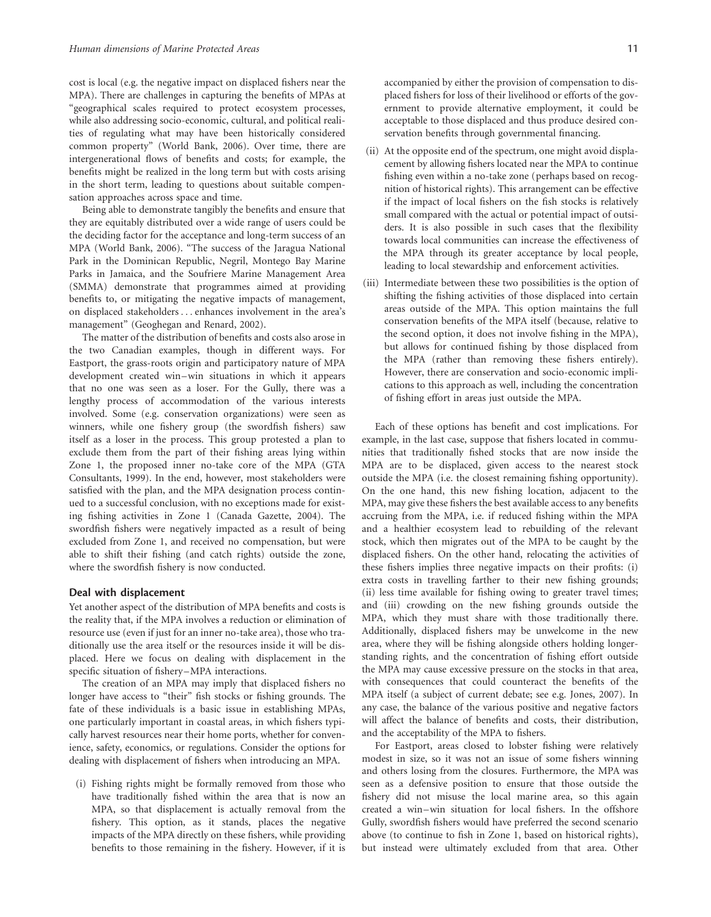cost is local (e.g. the negative impact on displaced fishers near the MPA). There are challenges in capturing the benefits of MPAs at "geographical scales required to protect ecosystem processes, while also addressing socio-economic, cultural, and political realities of regulating what may have been historically considered common property" (World Bank, 2006). Over time, there are intergenerational flows of benefits and costs; for example, the benefits might be realized in the long term but with costs arising in the short term, leading to questions about suitable compensation approaches across space and time.

Being able to demonstrate tangibly the benefits and ensure that they are equitably distributed over a wide range of users could be the deciding factor for the acceptance and long-term success of an MPA (World Bank, 2006). "The success of the Jaragua National Park in the Dominican Republic, Negril, Montego Bay Marine Parks in Jamaica, and the Soufriere Marine Management Area (SMMA) demonstrate that programmes aimed at providing benefits to, or mitigating the negative impacts of management, on displaced stakeholders ... enhances involvement in the area's management" (Geoghegan and Renard, 2002).

The matter of the distribution of benefits and costs also arose in the two Canadian examples, though in different ways. For Eastport, the grass-roots origin and participatory nature of MPA development created win–win situations in which it appears that no one was seen as a loser. For the Gully, there was a lengthy process of accommodation of the various interests involved. Some (e.g. conservation organizations) were seen as winners, while one fishery group (the swordfish fishers) saw itself as a loser in the process. This group protested a plan to exclude them from the part of their fishing areas lying within Zone 1, the proposed inner no-take core of the MPA (GTA Consultants, 1999). In the end, however, most stakeholders were satisfied with the plan, and the MPA designation process continued to a successful conclusion, with no exceptions made for existing fishing activities in Zone 1 (Canada Gazette, 2004). The swordfish fishers were negatively impacted as a result of being excluded from Zone 1, and received no compensation, but were able to shift their fishing (and catch rights) outside the zone, where the swordfish fishery is now conducted.

#### Deal with displacement

Yet another aspect of the distribution of MPA benefits and costs is the reality that, if the MPA involves a reduction or elimination of resource use (even if just for an inner no-take area), those who traditionally use the area itself or the resources inside it will be displaced. Here we focus on dealing with displacement in the specific situation of fishery–MPA interactions.

The creation of an MPA may imply that displaced fishers no longer have access to "their" fish stocks or fishing grounds. The fate of these individuals is a basic issue in establishing MPAs, one particularly important in coastal areas, in which fishers typically harvest resources near their home ports, whether for convenience, safety, economics, or regulations. Consider the options for dealing with displacement of fishers when introducing an MPA.

(i) Fishing rights might be formally removed from those who have traditionally fished within the area that is now an MPA, so that displacement is actually removal from the fishery. This option, as it stands, places the negative impacts of the MPA directly on these fishers, while providing benefits to those remaining in the fishery. However, if it is

- (ii) At the opposite end of the spectrum, one might avoid displacement by allowing fishers located near the MPA to continue fishing even within a no-take zone (perhaps based on recognition of historical rights). This arrangement can be effective if the impact of local fishers on the fish stocks is relatively small compared with the actual or potential impact of outsiders. It is also possible in such cases that the flexibility towards local communities can increase the effectiveness of the MPA through its greater acceptance by local people, leading to local stewardship and enforcement activities.
- (iii) Intermediate between these two possibilities is the option of shifting the fishing activities of those displaced into certain areas outside of the MPA. This option maintains the full conservation benefits of the MPA itself (because, relative to the second option, it does not involve fishing in the MPA), but allows for continued fishing by those displaced from the MPA (rather than removing these fishers entirely). However, there are conservation and socio-economic implications to this approach as well, including the concentration of fishing effort in areas just outside the MPA.

Each of these options has benefit and cost implications. For example, in the last case, suppose that fishers located in communities that traditionally fished stocks that are now inside the MPA are to be displaced, given access to the nearest stock outside the MPA (i.e. the closest remaining fishing opportunity). On the one hand, this new fishing location, adjacent to the MPA, may give these fishers the best available access to any benefits accruing from the MPA, i.e. if reduced fishing within the MPA and a healthier ecosystem lead to rebuilding of the relevant stock, which then migrates out of the MPA to be caught by the displaced fishers. On the other hand, relocating the activities of these fishers implies three negative impacts on their profits: (i) extra costs in travelling farther to their new fishing grounds; (ii) less time available for fishing owing to greater travel times; and (iii) crowding on the new fishing grounds outside the MPA, which they must share with those traditionally there. Additionally, displaced fishers may be unwelcome in the new area, where they will be fishing alongside others holding longerstanding rights, and the concentration of fishing effort outside the MPA may cause excessive pressure on the stocks in that area, with consequences that could counteract the benefits of the MPA itself (a subject of current debate; see e.g. Jones, 2007). In any case, the balance of the various positive and negative factors will affect the balance of benefits and costs, their distribution, and the acceptability of the MPA to fishers.

For Eastport, areas closed to lobster fishing were relatively modest in size, so it was not an issue of some fishers winning and others losing from the closures. Furthermore, the MPA was seen as a defensive position to ensure that those outside the fishery did not misuse the local marine area, so this again created a win–win situation for local fishers. In the offshore Gully, swordfish fishers would have preferred the second scenario above (to continue to fish in Zone 1, based on historical rights), but instead were ultimately excluded from that area. Other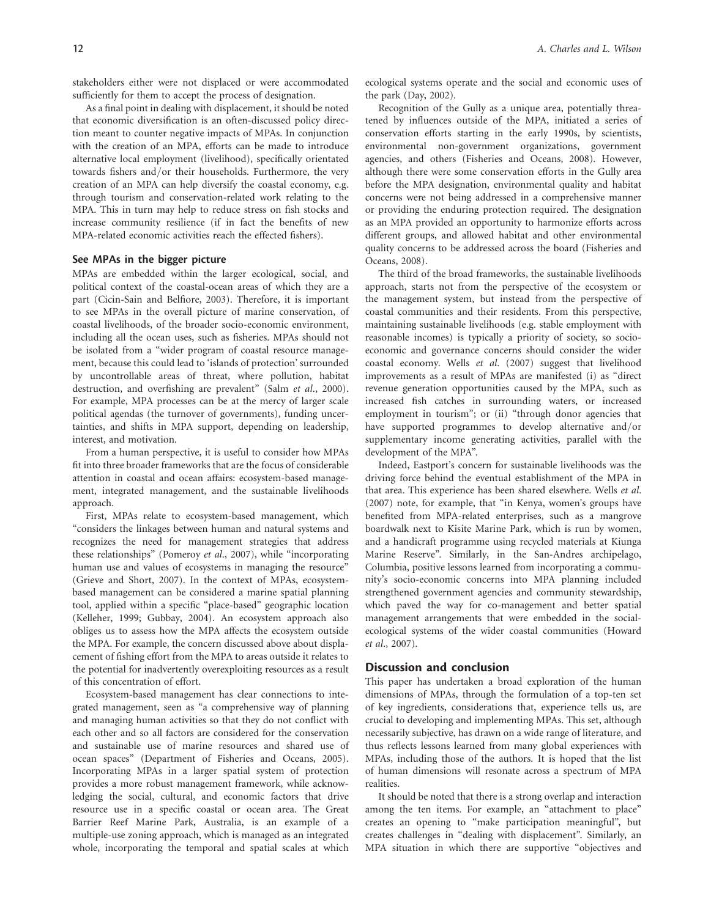stakeholders either were not displaced or were accommodated sufficiently for them to accept the process of designation.

As a final point in dealing with displacement, it should be noted that economic diversification is an often-discussed policy direction meant to counter negative impacts of MPAs. In conjunction with the creation of an MPA, efforts can be made to introduce alternative local employment (livelihood), specifically orientated towards fishers and/or their households. Furthermore, the very creation of an MPA can help diversify the coastal economy, e.g. through tourism and conservation-related work relating to the MPA. This in turn may help to reduce stress on fish stocks and increase community resilience (if in fact the benefits of new MPA-related economic activities reach the effected fishers).

#### See MPAs in the bigger picture

MPAs are embedded within the larger ecological, social, and political context of the coastal-ocean areas of which they are a part (Cicin-Sain and Belfiore, 2003). Therefore, it is important to see MPAs in the overall picture of marine conservation, of coastal livelihoods, of the broader socio-economic environment, including all the ocean uses, such as fisheries. MPAs should not be isolated from a "wider program of coastal resource management, because this could lead to 'islands of protection' surrounded by uncontrollable areas of threat, where pollution, habitat destruction, and overfishing are prevalent" (Salm et al., 2000). For example, MPA processes can be at the mercy of larger scale political agendas (the turnover of governments), funding uncertainties, and shifts in MPA support, depending on leadership, interest, and motivation.

From a human perspective, it is useful to consider how MPAs fit into three broader frameworks that are the focus of considerable attention in coastal and ocean affairs: ecosystem-based management, integrated management, and the sustainable livelihoods approach.

First, MPAs relate to ecosystem-based management, which "considers the linkages between human and natural systems and recognizes the need for management strategies that address these relationships" (Pomeroy et al., 2007), while "incorporating human use and values of ecosystems in managing the resource" (Grieve and Short, 2007). In the context of MPAs, ecosystembased management can be considered a marine spatial planning tool, applied within a specific "place-based" geographic location (Kelleher, 1999; Gubbay, 2004). An ecosystem approach also obliges us to assess how the MPA affects the ecosystem outside the MPA. For example, the concern discussed above about displacement of fishing effort from the MPA to areas outside it relates to the potential for inadvertently overexploiting resources as a result of this concentration of effort.

Ecosystem-based management has clear connections to integrated management, seen as "a comprehensive way of planning and managing human activities so that they do not conflict with each other and so all factors are considered for the conservation and sustainable use of marine resources and shared use of ocean spaces" (Department of Fisheries and Oceans, 2005). Incorporating MPAs in a larger spatial system of protection provides a more robust management framework, while acknowledging the social, cultural, and economic factors that drive resource use in a specific coastal or ocean area. The Great Barrier Reef Marine Park, Australia, is an example of a multiple-use zoning approach, which is managed as an integrated whole, incorporating the temporal and spatial scales at which ecological systems operate and the social and economic uses of the park (Day, 2002).

Recognition of the Gully as a unique area, potentially threatened by influences outside of the MPA, initiated a series of conservation efforts starting in the early 1990s, by scientists, environmental non-government organizations, government agencies, and others (Fisheries and Oceans, 2008). However, although there were some conservation efforts in the Gully area before the MPA designation, environmental quality and habitat concerns were not being addressed in a comprehensive manner or providing the enduring protection required. The designation as an MPA provided an opportunity to harmonize efforts across different groups, and allowed habitat and other environmental quality concerns to be addressed across the board (Fisheries and Oceans, 2008).

The third of the broad frameworks, the sustainable livelihoods approach, starts not from the perspective of the ecosystem or the management system, but instead from the perspective of coastal communities and their residents. From this perspective, maintaining sustainable livelihoods (e.g. stable employment with reasonable incomes) is typically a priority of society, so socioeconomic and governance concerns should consider the wider coastal economy. Wells et al. (2007) suggest that livelihood improvements as a result of MPAs are manifested (i) as "direct revenue generation opportunities caused by the MPA, such as increased fish catches in surrounding waters, or increased employment in tourism"; or (ii) "through donor agencies that have supported programmes to develop alternative and/or supplementary income generating activities, parallel with the development of the MPA".

Indeed, Eastport's concern for sustainable livelihoods was the driving force behind the eventual establishment of the MPA in that area. This experience has been shared elsewhere. Wells et al. (2007) note, for example, that "in Kenya, women's groups have benefited from MPA-related enterprises, such as a mangrove boardwalk next to Kisite Marine Park, which is run by women, and a handicraft programme using recycled materials at Kiunga Marine Reserve". Similarly, in the San-Andres archipelago, Columbia, positive lessons learned from incorporating a community's socio-economic concerns into MPA planning included strengthened government agencies and community stewardship, which paved the way for co-management and better spatial management arrangements that were embedded in the socialecological systems of the wider coastal communities (Howard et al., 2007).

#### Discussion and conclusion

This paper has undertaken a broad exploration of the human dimensions of MPAs, through the formulation of a top-ten set of key ingredients, considerations that, experience tells us, are crucial to developing and implementing MPAs. This set, although necessarily subjective, has drawn on a wide range of literature, and thus reflects lessons learned from many global experiences with MPAs, including those of the authors. It is hoped that the list of human dimensions will resonate across a spectrum of MPA realities.

It should be noted that there is a strong overlap and interaction among the ten items. For example, an "attachment to place" creates an opening to "make participation meaningful", but creates challenges in "dealing with displacement". Similarly, an MPA situation in which there are supportive "objectives and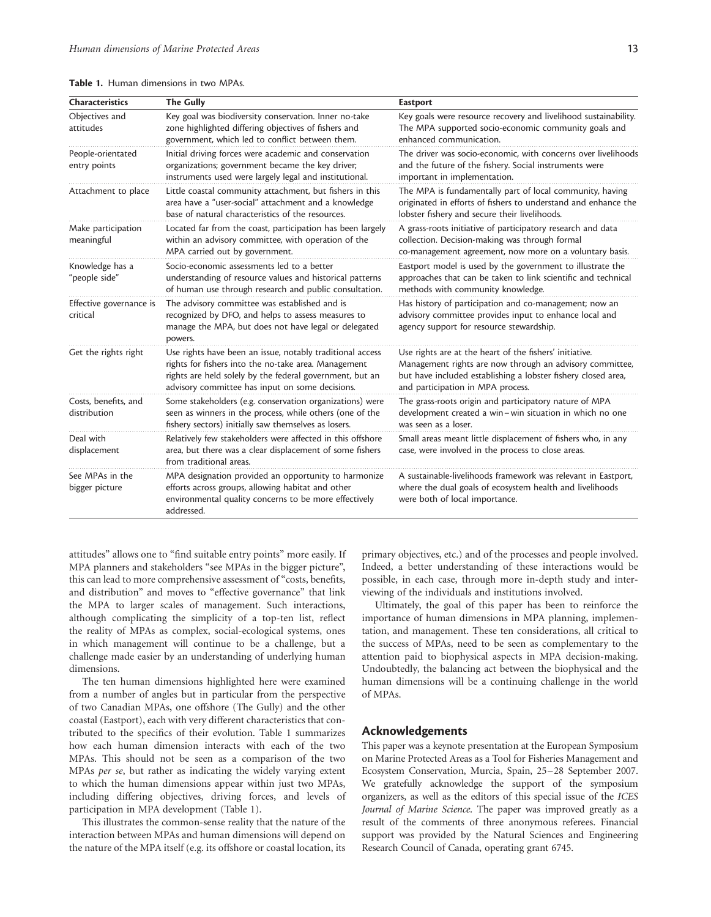| Table 1. Human dimensions in two MPAs. |  |
|----------------------------------------|--|
|----------------------------------------|--|

| Characteristics                      | <b>The Gully</b>                                                                                                                                                                                                                 | Eastport                                                                                                                                                                                                                  |
|--------------------------------------|----------------------------------------------------------------------------------------------------------------------------------------------------------------------------------------------------------------------------------|---------------------------------------------------------------------------------------------------------------------------------------------------------------------------------------------------------------------------|
| Objectives and<br>attitudes          | Key goal was biodiversity conservation. Inner no-take<br>zone highlighted differing objectives of fishers and<br>government, which led to conflict between them.                                                                 | Key goals were resource recovery and livelihood sustainability.<br>The MPA supported socio-economic community goals and<br>enhanced communication.                                                                        |
| People-orientated<br>entry points    | Initial driving forces were academic and conservation<br>organizations; government became the key driver;<br>instruments used were largely legal and institutional.                                                              | The driver was socio-economic, with concerns over livelihoods<br>and the future of the fishery. Social instruments were<br>important in implementation.                                                                   |
| Attachment to place                  | Little coastal community attachment, but fishers in this<br>area have a "user-social" attachment and a knowledge<br>base of natural characteristics of the resources.                                                            | The MPA is fundamentally part of local community, having<br>originated in efforts of fishers to understand and enhance the<br>lobster fishery and secure their livelihoods.                                               |
| Make participation<br>meaningful     | Located far from the coast, participation has been largely<br>within an advisory committee, with operation of the<br>MPA carried out by government.                                                                              | A grass-roots initiative of participatory research and data<br>collection. Decision-making was through formal<br>co-management agreement, now more on a voluntary basis.                                                  |
| Knowledge has a<br>"people side"     | Socio-economic assessments led to a better<br>understanding of resource values and historical patterns<br>of human use through research and public consultation.                                                                 | Eastport model is used by the government to illustrate the<br>approaches that can be taken to link scientific and technical<br>methods with community knowledge.                                                          |
| Effective governance is<br>critical  | The advisory committee was established and is<br>recognized by DFO, and helps to assess measures to<br>manage the MPA, but does not have legal or delegated<br>powers.                                                           | Has history of participation and co-management; now an<br>advisory committee provides input to enhance local and<br>agency support for resource stewardship.                                                              |
| Get the rights right                 | Use rights have been an issue, notably traditional access<br>rights for fishers into the no-take area. Management<br>rights are held solely by the federal government, but an<br>advisory committee has input on some decisions. | Use rights are at the heart of the fishers' initiative.<br>Management rights are now through an advisory committee,<br>but have included establishing a lobster fishery closed area,<br>and participation in MPA process. |
| Costs, benefits, and<br>distribution | Some stakeholders (e.g. conservation organizations) were<br>seen as winners in the process, while others (one of the<br>fishery sectors) initially saw themselves as losers.                                                     | The grass-roots origin and participatory nature of MPA<br>development created a win-win situation in which no one<br>was seen as a loser.                                                                                 |
| Deal with<br>displacement            | Relatively few stakeholders were affected in this offshore<br>area, but there was a clear displacement of some fishers<br>from traditional areas.                                                                                | Small areas meant little displacement of fishers who, in any<br>case, were involved in the process to close areas.                                                                                                        |
| See MPAs in the<br>bigger picture    | MPA designation provided an opportunity to harmonize<br>efforts across groups, allowing habitat and other<br>environmental quality concerns to be more effectively<br>addressed.                                                 | A sustainable-livelihoods framework was relevant in Eastport,<br>where the dual goals of ecosystem health and livelihoods<br>were both of local importance.                                                               |

attitudes" allows one to "find suitable entry points" more easily. If MPA planners and stakeholders "see MPAs in the bigger picture", this can lead to more comprehensive assessment of "costs, benefits, and distribution" and moves to "effective governance" that link the MPA to larger scales of management. Such interactions, although complicating the simplicity of a top-ten list, reflect the reality of MPAs as complex, social-ecological systems, ones in which management will continue to be a challenge, but a challenge made easier by an understanding of underlying human dimensions.

The ten human dimensions highlighted here were examined from a number of angles but in particular from the perspective of two Canadian MPAs, one offshore (The Gully) and the other coastal (Eastport), each with very different characteristics that contributed to the specifics of their evolution. Table 1 summarizes how each human dimension interacts with each of the two MPAs. This should not be seen as a comparison of the two MPAs per se, but rather as indicating the widely varying extent to which the human dimensions appear within just two MPAs, including differing objectives, driving forces, and levels of participation in MPA development (Table 1).

This illustrates the common-sense reality that the nature of the interaction between MPAs and human dimensions will depend on the nature of the MPA itself (e.g. its offshore or coastal location, its primary objectives, etc.) and of the processes and people involved. Indeed, a better understanding of these interactions would be possible, in each case, through more in-depth study and interviewing of the individuals and institutions involved.

Ultimately, the goal of this paper has been to reinforce the importance of human dimensions in MPA planning, implementation, and management. These ten considerations, all critical to the success of MPAs, need to be seen as complementary to the attention paid to biophysical aspects in MPA decision-making. Undoubtedly, the balancing act between the biophysical and the human dimensions will be a continuing challenge in the world of MPAs.

#### Acknowledgements

This paper was a keynote presentation at the European Symposium on Marine Protected Areas as a Tool for Fisheries Management and Ecosystem Conservation, Murcia, Spain, 25–28 September 2007. We gratefully acknowledge the support of the symposium organizers, as well as the editors of this special issue of the ICES Journal of Marine Science. The paper was improved greatly as a result of the comments of three anonymous referees. Financial support was provided by the Natural Sciences and Engineering Research Council of Canada, operating grant 6745.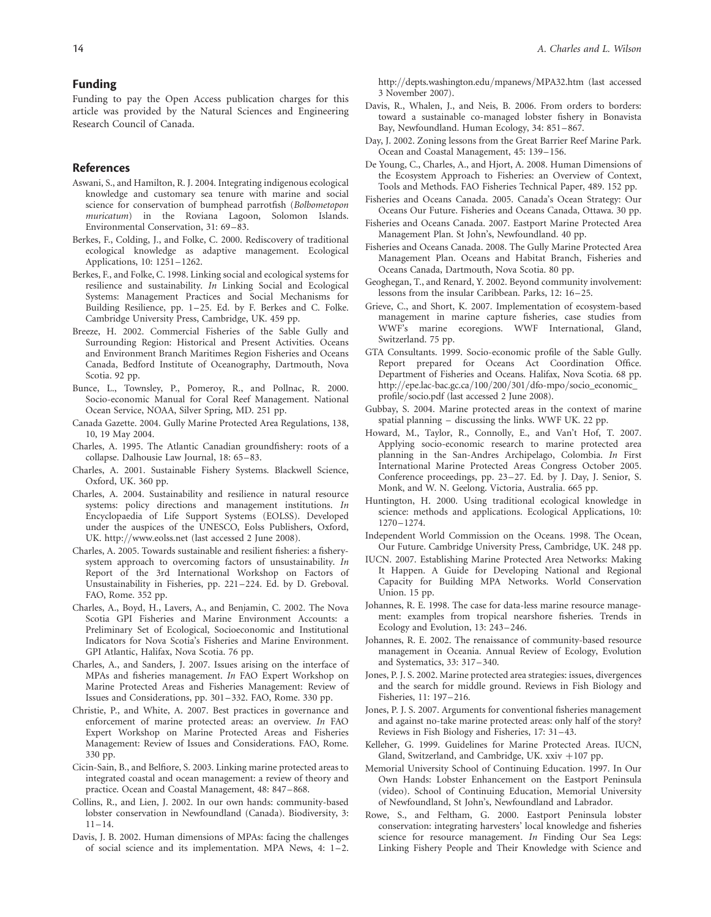#### Funding

Funding to pay the Open Access publication charges for this article was provided by the Natural Sciences and Engineering Research Council of Canada.

#### References

- Aswani, S., and Hamilton, R. J. 2004. Integrating indigenous ecological knowledge and customary sea tenure with marine and social science for conservation of bumphead parrotfish (Bolbometopon muricatum) in the Roviana Lagoon, Solomon Islands. Environmental Conservation, 31: 69–83.
- Berkes, F., Colding, J., and Folke, C. 2000. Rediscovery of traditional ecological knowledge as adaptive management. Ecological Applications, 10: 1251–1262.
- Berkes, F., and Folke, C. 1998. Linking social and ecological systems for resilience and sustainability. In Linking Social and Ecological Systems: Management Practices and Social Mechanisms for Building Resilience, pp. 1–25. Ed. by F. Berkes and C. Folke. Cambridge University Press, Cambridge, UK. 459 pp.
- Breeze, H. 2002. Commercial Fisheries of the Sable Gully and Surrounding Region: Historical and Present Activities. Oceans and Environment Branch Maritimes Region Fisheries and Oceans Canada, Bedford Institute of Oceanography, Dartmouth, Nova Scotia. 92 pp.
- Bunce, L., Townsley, P., Pomeroy, R., and Pollnac, R. 2000. Socio-economic Manual for Coral Reef Management. National Ocean Service, NOAA, Silver Spring, MD. 251 pp.
- Canada Gazette. 2004. Gully Marine Protected Area Regulations, 138, 10, 19 May 2004.
- Charles, A. 1995. The Atlantic Canadian groundfishery: roots of a collapse. Dalhousie Law Journal, 18: 65–83.
- Charles, A. 2001. Sustainable Fishery Systems. Blackwell Science, Oxford, UK. 360 pp.
- Charles, A. 2004. Sustainability and resilience in natural resource systems: policy directions and management institutions. In Encyclopaedia of Life Support Systems (EOLSS). Developed under the auspices of the UNESCO, Eolss Publishers, Oxford, UK. http://www.eolss.net (last accessed 2 June 2008).
- Charles, A. 2005. Towards sustainable and resilient fisheries: a fisherysystem approach to overcoming factors of unsustainability. In Report of the 3rd International Workshop on Factors of Unsustainability in Fisheries, pp. 221–224. Ed. by D. Greboval. FAO, Rome. 352 pp.
- Charles, A., Boyd, H., Lavers, A., and Benjamin, C. 2002. The Nova Scotia GPI Fisheries and Marine Environment Accounts: a Preliminary Set of Ecological, Socioeconomic and Institutional Indicators for Nova Scotia's Fisheries and Marine Environment. GPI Atlantic, Halifax, Nova Scotia. 76 pp.
- Charles, A., and Sanders, J. 2007. Issues arising on the interface of MPAs and fisheries management. In FAO Expert Workshop on Marine Protected Areas and Fisheries Management: Review of Issues and Considerations, pp. 301–332. FAO, Rome. 330 pp.
- Christie, P., and White, A. 2007. Best practices in governance and enforcement of marine protected areas: an overview. In FAO Expert Workshop on Marine Protected Areas and Fisheries Management: Review of Issues and Considerations. FAO, Rome. 330 pp.
- Cicin-Sain, B., and Belfiore, S. 2003. Linking marine protected areas to integrated coastal and ocean management: a review of theory and practice. Ocean and Coastal Management, 48: 847–868.
- Collins, R., and Lien, J. 2002. In our own hands: community-based lobster conservation in Newfoundland (Canada). Biodiversity, 3: 11–14.
- Davis, J. B. 2002. Human dimensions of MPAs: facing the challenges of social science and its implementation. MPA News, 4: 1–2.

http://depts.washington.edu/mpanews/MPA32.htm (last accessed 3 November 2007).

- Davis, R., Whalen, J., and Neis, B. 2006. From orders to borders: toward a sustainable co-managed lobster fishery in Bonavista Bay, Newfoundland. Human Ecology, 34: 851–867.
- Day, J. 2002. Zoning lessons from the Great Barrier Reef Marine Park. Ocean and Coastal Management, 45: 139–156.
- De Young, C., Charles, A., and Hjort, A. 2008. Human Dimensions of the Ecosystem Approach to Fisheries: an Overview of Context, Tools and Methods. FAO Fisheries Technical Paper, 489. 152 pp.
- Fisheries and Oceans Canada. 2005. Canada's Ocean Strategy: Our Oceans Our Future. Fisheries and Oceans Canada, Ottawa. 30 pp.
- Fisheries and Oceans Canada. 2007. Eastport Marine Protected Area Management Plan. St John's, Newfoundland. 40 pp.
- Fisheries and Oceans Canada. 2008. The Gully Marine Protected Area Management Plan. Oceans and Habitat Branch, Fisheries and Oceans Canada, Dartmouth, Nova Scotia. 80 pp.
- Geoghegan, T., and Renard, Y. 2002. Beyond community involvement: lessons from the insular Caribbean. Parks, 12: 16–25.
- Grieve, C., and Short, K. 2007. Implementation of ecosystem-based management in marine capture fisheries, case studies from WWF's marine ecoregions. WWF International, Gland, Switzerland. 75 pp.
- GTA Consultants. 1999. Socio-economic profile of the Sable Gully. Report prepared for Oceans Act Coordination Office. Department of Fisheries and Oceans. Halifax, Nova Scotia. 68 pp. http://epe.lac-bac.gc.ca/100/200/301/dfo-mpo/socio\_economic\_ profile/socio.pdf (last accessed 2 June 2008).
- Gubbay, S. 2004. Marine protected areas in the context of marine spatial planning – discussing the links. WWF UK. 22 pp.
- Howard, M., Taylor, R., Connolly, E., and Van't Hof, T. 2007. Applying socio-economic research to marine protected area planning in the San-Andres Archipelago, Colombia. In First International Marine Protected Areas Congress October 2005. Conference proceedings, pp. 23–27. Ed. by J. Day, J. Senior, S. Monk, and W. N. Geelong. Victoria, Australia. 665 pp.
- Huntington, H. 2000. Using traditional ecological knowledge in science: methods and applications. Ecological Applications, 10: 1270–1274.
- Independent World Commission on the Oceans. 1998. The Ocean, Our Future. Cambridge University Press, Cambridge, UK. 248 pp.
- IUCN. 2007. Establishing Marine Protected Area Networks: Making It Happen. A Guide for Developing National and Regional Capacity for Building MPA Networks. World Conservation Union. 15 pp.
- Johannes, R. E. 1998. The case for data-less marine resource management: examples from tropical nearshore fisheries. Trends in Ecology and Evolution, 13: 243–246.
- Johannes, R. E. 2002. The renaissance of community-based resource management in Oceania. Annual Review of Ecology, Evolution and Systematics, 33: 317–340.
- Jones, P. J. S. 2002. Marine protected area strategies: issues, divergences and the search for middle ground. Reviews in Fish Biology and Fisheries, 11: 197–216.
- Jones, P. J. S. 2007. Arguments for conventional fisheries management and against no-take marine protected areas: only half of the story? Reviews in Fish Biology and Fisheries, 17: 31–43.
- Kelleher, G. 1999. Guidelines for Marine Protected Areas. IUCN, Gland, Switzerland, and Cambridge, UK. xxiv  $+107$  pp.
- Memorial University School of Continuing Education. 1997. In Our Own Hands: Lobster Enhancement on the Eastport Peninsula (video). School of Continuing Education, Memorial University of Newfoundland, St John's, Newfoundland and Labrador.
- Rowe, S., and Feltham, G. 2000. Eastport Peninsula lobster conservation: integrating harvesters' local knowledge and fisheries science for resource management. In Finding Our Sea Legs: Linking Fishery People and Their Knowledge with Science and